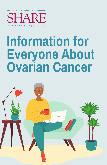

# **Information for Everyone About Ovarian Cancer**

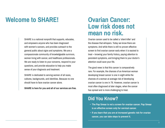## **Welcome to SHARE! Ovarian Cancer:**

SHARE is a national nonprofit that supports, educates, and empowers anyone who has been diagnosed with women's cancers, and provides outreach to the general public about signs and symptoms. We are a compassionate community of knowledgeable survivors, women living with cancer, and healthcare professionals. We are ready to listen to your concerns, respond to your questions, and provide education to help you make sense of your diagnosis and treatment.

SHARE is dedicated to serving women of all races, cultures, backgrounds, and identities. Because no one should have to face ovarian cancer alone.

**SHARE is here for you and all of our services are free.**

## **Low risk does not mean no risk.**

Ovarian cancer used to be called a 'silent killer' and the disease that whispers. Today we know there are symptoms. And while there is still no proven effective screen to find ovarian cancer early when it is easiest to treat -- knowing your family history, paying attention to persistent symptoms, and bringing them to your doctor's attention could save your life.

The good news is that this cancer is comparatively rare. For example, the chances of an American woman developing breast cancer is one in eight while the chances of a woman at average risk of developing ovarian cancer is one in 78. However, ovarian cancer is most often diagnosed at later stages, when the cancer has spread and is more challenging to treat.

#### **Did You Know?**

- **• The Pap Smear is not a screen for ovarian cancer. Pap Smear is an effective screen only for cervical cancer.**
- **• If you learn that you are at increased genetic risk for ovarian cancer, you can take steps to prevent it.**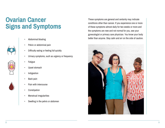## **Ovarian Cancer Signs and Symptoms**





- Abdominal bloating
- Pelvic or abdominal pain
- Difficulty eating or feeling full quickly
- Urinary symptoms, such as urgency or frequency
- **Fatigue**
- Upset stomach
- **Indigestion**
- Back pain
- Pain with intercourse
- Constipation
- Menstrual irregularities
- Swelling in the pelvis or abdomen

These symptoms are general and certainly may indicate conditions other than cancer. If you experience one or more of these symptoms almost daily for two weeks or more and the symptoms are new and not normal for you, see your gynecologist or primary care physician. You know your body better than anyone. Stay calm and err on the side of caution.

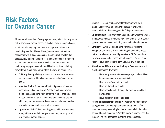### **Risk Factors for Ovarian Cancer**

All women with ovaries, of every age and every ethnicity, carry some risk of developing ovarian cancer. But not all risks are weighted equally. A risk factor is anything that increases a person's chance of developing a certain illness. Having one or more risk factors associated with a disease does not mean you will develop that disease. Having no risk factors for a disease does not mean you will not get that disease. But discussing risk factors with your doctor may help you make informed lifestyle choices including preventative measures appropriate to the severity of your risk.

- **A Strong Family History** of ovarian, fallopian tube, or breast cancer, especially if family members were diagnosed prior to age 50.
- **Inherited Risk** -- An estimated 20 to 25 percent of ovarian cancers are linked to a known genetic mutation or several mutations passed down from either the mother or father. These include the BRCA 1 and 2 mutations and Lynch Syndrome, which may raise a woman's risk of ovarian, fallopian, uterine, colorectal, breast, and several other cancers.
- Age -- Roughly half of women diagnosed with ovarian cancer are age 63 or older, but younger women may develop certain rare types of ovarian cancer.
- **Obesity** -- Recent studies reveal that women who were significantly overweight in early adulthood may have an increased risk of developing ovarian/fallopian tube cancer.
- **Endometriosis** -- A history of this condition in which the uterus lining grows outside the uterus may increase the risk of certain types of ovarian cancer including clear cell and endometrioid.
- **Ethnicity** -- White women of North American, Northern European, or Ashkenazi Jewish heritage have an increased risk and are known to have higher rates of BRCA mutations. However, women of all races and ethnicities -- Black, Latina, Asian -- have been found to carry BRCA 1 or 2 mutations.
- **Menstrual and Reproductive History -- Ovarian cancer risk** may be increased if women:
	- Have early menstruation (average age is about 12) or late menopause (average age is 51)
	- Have never given birth to a child
	- Have not breast-fed a child
	- Have unexplained infertility (the medical inability to have a child)
	- Have not taken birth control pills
- **Hormone Replacement Therapy -- Women who have taken** estrogen-only hormone replacement therapy (HRT) after menopause may have a higher risk of ovarian/fallopian tube cancer. The risk becomes higher the longer a woman uses the therapy. The risk decreases over time after she stops.